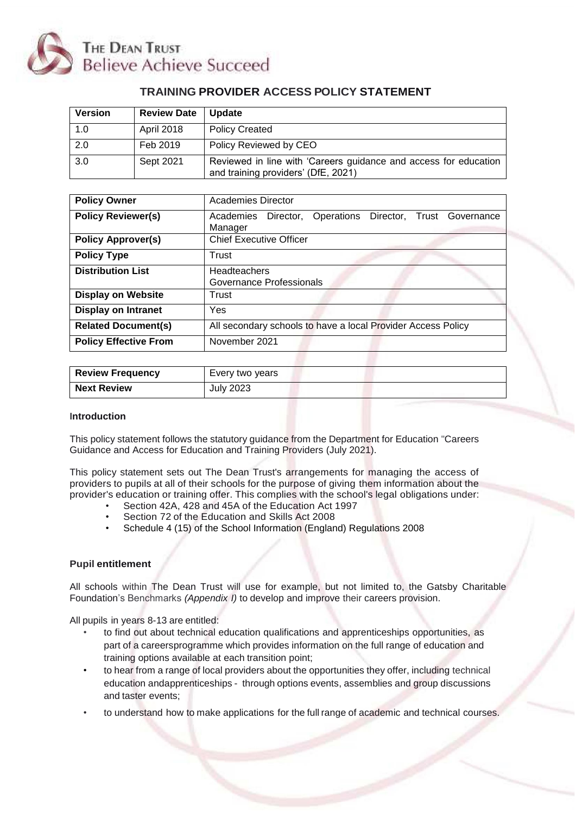

# **TRAINING PROVIDER ACCESS POLICY STATEMENT**

| <b>Version</b> | <b>Review Date</b> | <b>Update</b>                                                                                           |
|----------------|--------------------|---------------------------------------------------------------------------------------------------------|
| 1.0            | <b>April 2018</b>  | <b>Policy Created</b>                                                                                   |
| 2.0            | Feb 2019           | Policy Reviewed by CEO                                                                                  |
| 3.0            | Sept 2021          | Reviewed in line with 'Careers guidance and access for education<br>and training providers' (DfE, 2021) |

| <b>Policy Owner</b>          | Academies Director                                                   |  |  |
|------------------------------|----------------------------------------------------------------------|--|--|
| <b>Policy Reviewer(s)</b>    | Academies Director, Operations Director, Trust Governance<br>Manager |  |  |
| <b>Policy Approver(s)</b>    | <b>Chief Executive Officer</b>                                       |  |  |
| <b>Policy Type</b>           | Trust                                                                |  |  |
| <b>Distribution List</b>     | Headteachers                                                         |  |  |
|                              | <b>Governance Professionals</b>                                      |  |  |
| <b>Display on Website</b>    | Trust                                                                |  |  |
| <b>Display on Intranet</b>   | Yes                                                                  |  |  |
| <b>Related Document(s)</b>   | All secondary schools to have a local Provider Access Policy         |  |  |
| <b>Policy Effective From</b> | November 2021                                                        |  |  |

| <b>Review Frequency</b> | Every two years |
|-------------------------|-----------------|
| <b>Next Review</b>      | July 2023       |

#### **Introduction**

This policy statement follows the statutory guidance from the Department for Education "Careers Guidance and Access for Education and Training Providers (July 2021).

This policy statement sets out The Dean Trust's arrangements for managing the access of providers to pupils at all of their schools for the purpose of giving them information about the provider's education or training offer. This complies with the school's legal obligations under:

- Section 42A, 428 and 45A of the Education Act 1997
- Section 72 of the Education and Skills Act 2008
- Schedule 4 (15) of the School Information (England) Regulations 2008

## **Pupil entitlement**

All schools within The Dean Trust will use for example, but not limited to, the Gatsby Charitable Foundation's Benchmarks *(Appendix I)* to develop and improve their careers provision.

All pupils in years 8-13 are entitled:

- to find out about technical education qualifications and apprenticeships opportunities, as part of a careersprogramme which provides information on the full range of education and training options available at each transition point;
- to hear from a range of local providers about the opportunities they offer, including technical education andapprenticeships - through options events, assemblies and group discussions and taster events;
- to understand how to make applications for the full range of academic and technical courses.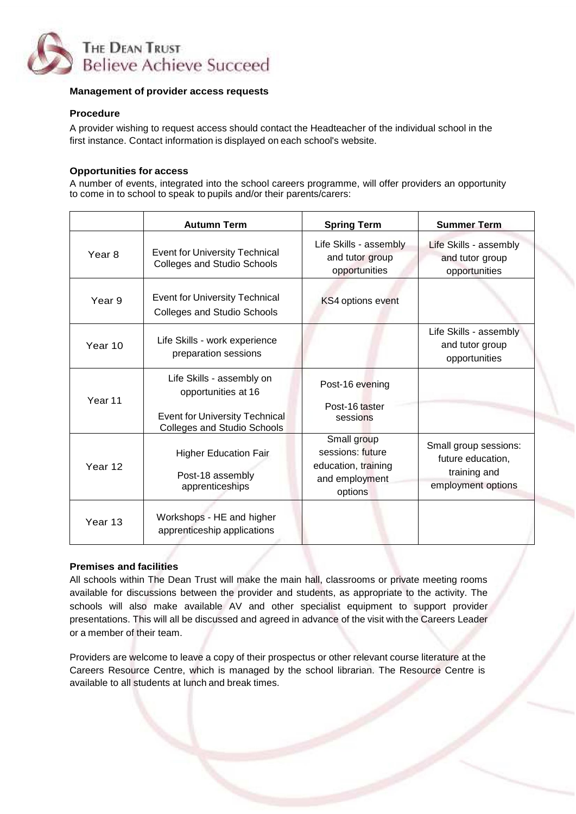

#### **Management of provider access requests**

#### **Procedure**

A provider wishing to request access should contact the Headteacher of the individual school in the first instance. Contact information is displayed on each school's website.

#### **Opportunities for access**

A number of events, integrated into the school careers programme, will offer providers an opportunity to come in to school to speak to pupils and/or their parents/carers:

|                    | <b>Autumn Term</b>                                                                                                              | <b>Spring Term</b>                                                                  | <b>Summer Term</b>                                                               |
|--------------------|---------------------------------------------------------------------------------------------------------------------------------|-------------------------------------------------------------------------------------|----------------------------------------------------------------------------------|
| Year <sub>8</sub>  | <b>Event for University Technical</b><br><b>Colleges and Studio Schools</b>                                                     | Life Skills - assembly<br>and tutor group<br>opportunities                          | Life Skills - assembly<br>and tutor group<br>opportunities                       |
| Year <sub>9</sub>  | <b>Event for University Technical</b><br><b>Colleges and Studio Schools</b>                                                     | KS4 options event                                                                   |                                                                                  |
| Year 10            | Life Skills - work experience<br>preparation sessions                                                                           |                                                                                     | Life Skills - assembly<br>and tutor group<br>opportunities                       |
| Year <sub>11</sub> | Life Skills - assembly on<br>opportunities at 16<br><b>Event for University Technical</b><br><b>Colleges and Studio Schools</b> | Post-16 evening<br>Post-16 taster<br>sessions                                       |                                                                                  |
| Year 12            | <b>Higher Education Fair</b><br>Post-18 assembly<br>apprenticeships                                                             | Small group<br>sessions: future<br>education, training<br>and employment<br>options | Small group sessions:<br>future education,<br>training and<br>employment options |
| Year 13            | Workshops - HE and higher<br>apprenticeship applications                                                                        |                                                                                     |                                                                                  |

# **Premises and facilities**

All schools within The Dean Trust will make the main hall, classrooms or private meeting rooms available for discussions between the provider and students, as appropriate to the activity. The schools will also make available AV and other specialist equipment to support provider presentations. This will all be discussed and agreed in advance of the visit with the Careers Leader or a member of their team.

Providers are welcome to leave a copy of their prospectus or other relevant course literature at the Careers Resource Centre, which is managed by the school librarian. The Resource Centre is available to all students at lunch and break times.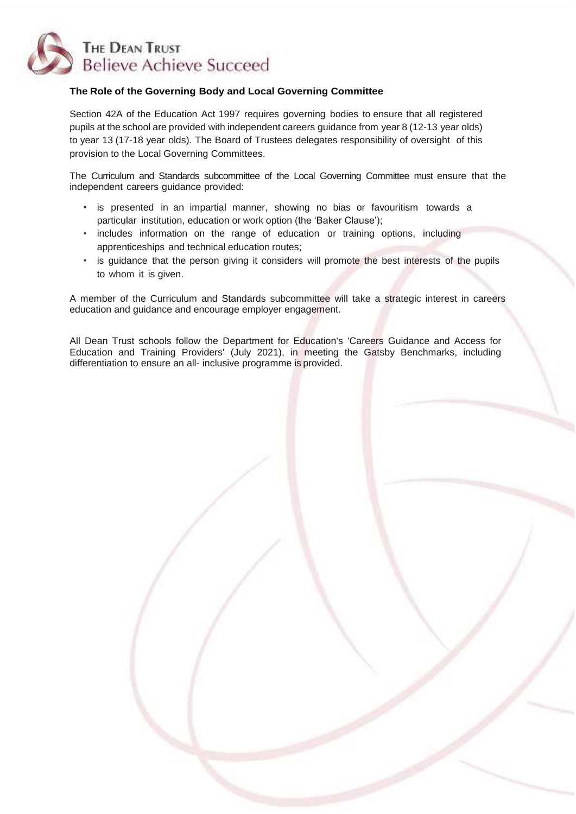

## **The Role of the Governing Body and Local Governing Committee**

Section 42A of the Education Act 1997 requires governing bodies to ensure that all registered pupils at the school are provided with independent careers guidance from year 8 (12-13 year olds) to year 13 (17-18 year olds). The Board of Trustees delegates responsibility of oversight of this provision to the Local Governing Committees.

The Curriculum and Standards subcommittee of the Local Governing Committee must ensure that the independent careers guidance provided:

- is presented in an impartial manner, showing no bias or favouritism towards a particular institution, education or work option (the 'Baker Clause');
- includes information on the range of education or training options, including apprenticeships and technical education routes;
- is guidance that the person giving it considers will promote the best interests of the pupils to whom it is given.

A member of the Curriculum and Standards subcommittee will take a strategic interest in careers education and guidance and encourage employer engagement.

All Dean Trust schools follow the Department for Education's 'Careers Guidance and Access for Education and Training Providers' (July 2021), in meeting the Gatsby Benchmarks, including differentiation to ensure an all- inclusive programme is provided.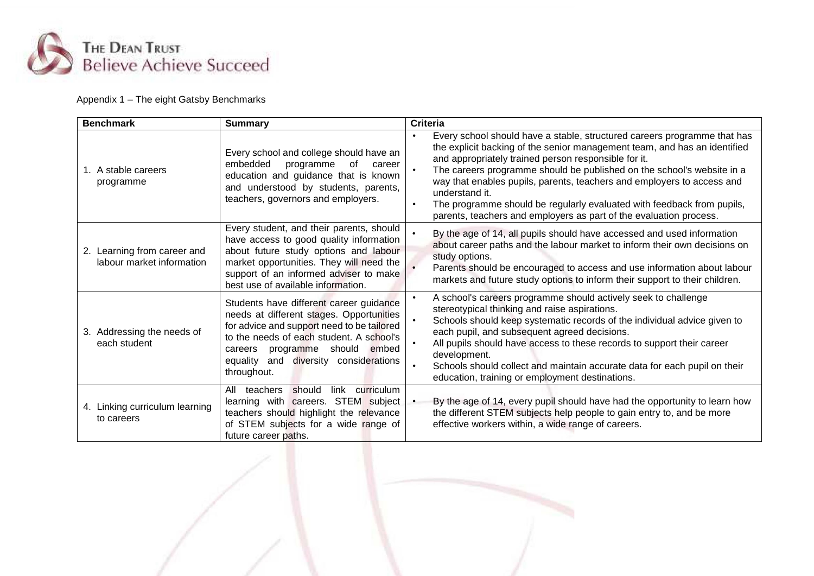

# Appendix 1 – The eight Gatsby Benchmarks

| <b>Benchmark</b>                                         | <b>Summary</b>                                                                                                                                                                                                                                                                | <b>Criteria</b>                                                                                                                                                                                                                                                                                                                                                                                                                                                                                                                     |
|----------------------------------------------------------|-------------------------------------------------------------------------------------------------------------------------------------------------------------------------------------------------------------------------------------------------------------------------------|-------------------------------------------------------------------------------------------------------------------------------------------------------------------------------------------------------------------------------------------------------------------------------------------------------------------------------------------------------------------------------------------------------------------------------------------------------------------------------------------------------------------------------------|
| 1. A stable careers<br>programme                         | Every school and college should have an<br>embedded<br>programme<br>of<br>career<br>education and guidance that is known<br>and understood by students, parents,<br>teachers, governors and employers.                                                                        | Every school should have a stable, structured careers programme that has<br>the explicit backing of the senior management team, and has an identified<br>and appropriately trained person responsible for it.<br>The careers programme should be published on the school's website in a<br>way that enables pupils, parents, teachers and employers to access and<br>understand it.<br>The programme should be regularly evaluated with feedback from pupils,<br>parents, teachers and employers as part of the evaluation process. |
| 2. Learning from career and<br>labour market information | Every student, and their parents, should<br>have access to good quality information<br>about future study options and labour<br>market opportunities. They will need the<br>support of an informed adviser to make<br>best use of available information.                      | By the age of 14, all pupils should have accessed and used information<br>about career paths and the labour market to inform their own decisions on<br>study options.<br>Parents should be encouraged to access and use information about labour<br>markets and future study options to inform their support to their children.                                                                                                                                                                                                     |
| 3. Addressing the needs of<br>each student               | Students have different career guidance<br>needs at different stages. Opportunities<br>for advice and support need to be tailored<br>to the needs of each student. A school's<br>programme should embed<br>careers<br>and diversity considerations<br>equality<br>throughout. | A school's careers programme should actively seek to challenge<br>stereotypical thinking and raise aspirations.<br>Schools should keep systematic records of the individual advice given to<br>each pupil, and subsequent agreed decisions.<br>All pupils should have access to these records to support their career<br>development.<br>Schools should collect and maintain accurate data for each pupil on their<br>education, training or employment destinations.                                                               |
| 4. Linking curriculum learning<br>to careers             | link curriculum<br>All teachers<br>should<br>learning with careers. STEM subject<br>teachers should highlight the relevance<br>of STEM subjects for a wide range of<br>future career paths.                                                                                   | By the age of 14, every pupil should have had the opportunity to learn how<br>the different STEM subjects help people to gain entry to, and be more<br>effective workers within, a wide range of careers.                                                                                                                                                                                                                                                                                                                           |